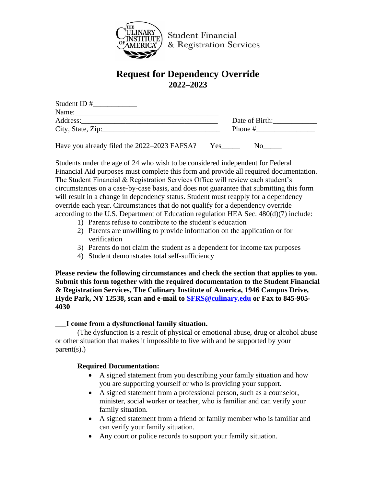

**Student Financial** & Registration Services

# **Request for Dependency Override 2022–2023**

| Student ID#                                 |                  |
|---------------------------------------------|------------------|
| Name:                                       |                  |
| Address:                                    | Date of Birth:   |
| City, State, Zip:                           | Phone $#$        |
| Have you already filed the 2022–2023 FAFSA? | <b>Yes</b><br>N0 |

Students under the age of 24 who wish to be considered independent for Federal Financial Aid purposes must complete this form and provide all required documentation. The Student Financial & Registration Services Office will review each student's circumstances on a case-by-case basis, and does not guarantee that submitting this form will result in a change in dependency status. Student must reapply for a dependency override each year. Circumstances that do not qualify for a dependency override according to the U.S. Department of Education regulation HEA Sec. 480(d)(7) include:

- 1) Parents refuse to contribute to the student's education
- 2) Parents are unwilling to provide information on the application or for verification
- 3) Parents do not claim the student as a dependent for income tax purposes
- 4) Student demonstrates total self-sufficiency

**Please review the following circumstances and check the section that applies to you. Submit this form together with the required documentation to the Student Financial & Registration Services, The Culinary Institute of America, 1946 Campus Drive, Hyde Park, NY 12538, scan and e-mail to [SFRS@culinary.edu](mailto:SFRS@culinary.edu) or Fax to 845-905- 4030**

# \_\_\_**I come from a dysfunctional family situation.**

(The dysfunction is a result of physical or emotional abuse, drug or alcohol abuse or other situation that makes it impossible to live with and be supported by your parent(s).)

# **Required Documentation:**

- A signed statement from you describing your family situation and how you are supporting yourself or who is providing your support.
- A signed statement from a professional person, such as a counselor, minister, social worker or teacher, who is familiar and can verify your family situation.
- A signed statement from a friend or family member who is familiar and can verify your family situation.
- Any court or police records to support your family situation.